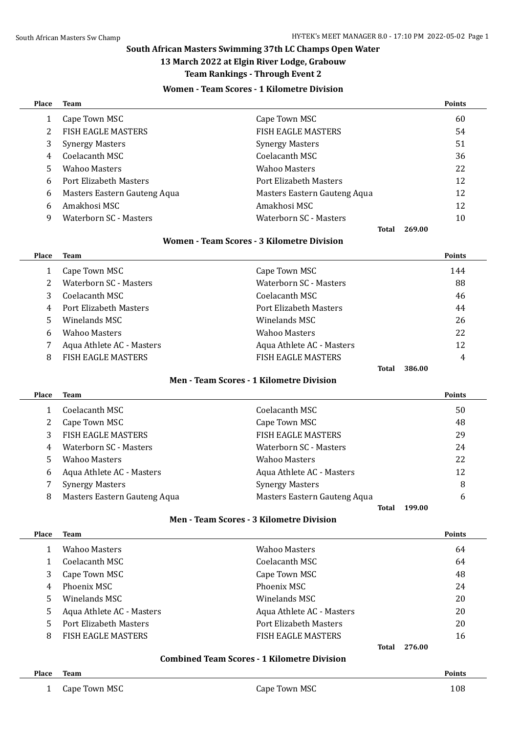# **South African Masters Swimming 37th LC Champs Open Water**

# **13 March 2022 at Elgin River Lodge, Grabouw**

#### **Team Rankings - Through Event 2**

# **Women - Team Scores - 1 Kilometre Division**

| <b>Place</b> | <b>Team</b>                   |                              | <b>Points</b> |
|--------------|-------------------------------|------------------------------|---------------|
|              | Cape Town MSC                 | Cape Town MSC                | 60            |
|              | <b>FISH EAGLE MASTERS</b>     | <b>FISH EAGLE MASTERS</b>    | 54            |
| 3            | <b>Synergy Masters</b>        | <b>Synergy Masters</b>       | 51            |
| 4            | Coelacanth MSC                | Coelacanth MSC               | 36            |
| 5            | <b>Wahoo Masters</b>          | <b>Wahoo Masters</b>         | 22            |
| 6            | <b>Port Elizabeth Masters</b> | Port Elizabeth Masters       | 12            |
| 6            | Masters Eastern Gauteng Aqua  | Masters Eastern Gauteng Aqua | 12            |
| 6            | Amakhosi MSC                  | Amakhosi MSC                 | 12            |
| 9            | Waterborn SC - Masters        | Waterborn SC - Masters       | 10            |
|              |                               | 269.00<br>Total              |               |

#### **Women - Team Scores - 3 Kilometre Division**

| Place | Team                      |                           | <b>Points</b> |
|-------|---------------------------|---------------------------|---------------|
|       | Cape Town MSC             | Cape Town MSC             | 144           |
|       | Waterborn SC - Masters    | Waterborn SC - Masters    | 88            |
| 3     | Coelacanth MSC            | Coelacanth MSC            | 46            |
| 4     | Port Elizabeth Masters    | Port Elizabeth Masters    | 44            |
| 5.    | Winelands MSC             | Winelands MSC             | 26            |
| 6     | <b>Wahoo Masters</b>      | <b>Wahoo Masters</b>      | 22            |
|       | Aqua Athlete AC - Masters | Aqua Athlete AC - Masters | 12            |
| 8     | <b>FISH EAGLE MASTERS</b> | <b>FISH EAGLE MASTERS</b> | 4             |
|       |                           | Total                     | 386.00        |

#### **Men - Team Scores - 1 Kilometre Division**

| <b>Place</b> | Team                         |                              | <b>Points</b> |
|--------------|------------------------------|------------------------------|---------------|
|              | Coelacanth MSC               | Coelacanth MSC               | 50            |
|              | Cape Town MSC                | Cape Town MSC                | 48            |
|              | <b>FISH EAGLE MASTERS</b>    | <b>FISH EAGLE MASTERS</b>    | 29            |
| 4            | Waterborn SC - Masters       | Waterborn SC - Masters       | 24            |
| 5.           | <b>Wahoo Masters</b>         | <b>Wahoo Masters</b>         | 22            |
| 6            | Aqua Athlete AC - Masters    | Aqua Athlete AC - Masters    | 12            |
|              | <b>Synergy Masters</b>       | <b>Synergy Masters</b>       | 8             |
| 8            | Masters Eastern Gauteng Aqua | Masters Eastern Gauteng Aqua | 6             |
|              |                              | 199.00<br>Total              |               |

# **Men - Team Scores - 3 Kilometre Division**

| <b>Place</b> | <b>Team</b>               |                           | <b>Points</b> |
|--------------|---------------------------|---------------------------|---------------|
|              | Wahoo Masters             | <b>Wahoo Masters</b>      | 64            |
|              | Coelacanth MSC            | Coelacanth MSC            | 64            |
| 3            | Cape Town MSC             | Cape Town MSC             | 48            |
| 4            | Phoenix MSC               | Phoenix MSC               | 24            |
| 5            | Winelands MSC             | Winelands MSC             | 20            |
| 5            | Aqua Athlete AC - Masters | Aqua Athlete AC - Masters | 20            |
| 5            | Port Elizabeth Masters    | Port Elizabeth Masters    | 20            |
| 8            | <b>FISH EAGLE MASTERS</b> | <b>FISH EAGLE MASTERS</b> | 16            |
|              |                           | Total                     | 276.00        |
|              |                           |                           |               |

#### **Combined Team Scores - 1 Kilometre Division**

# **Place Team Points**